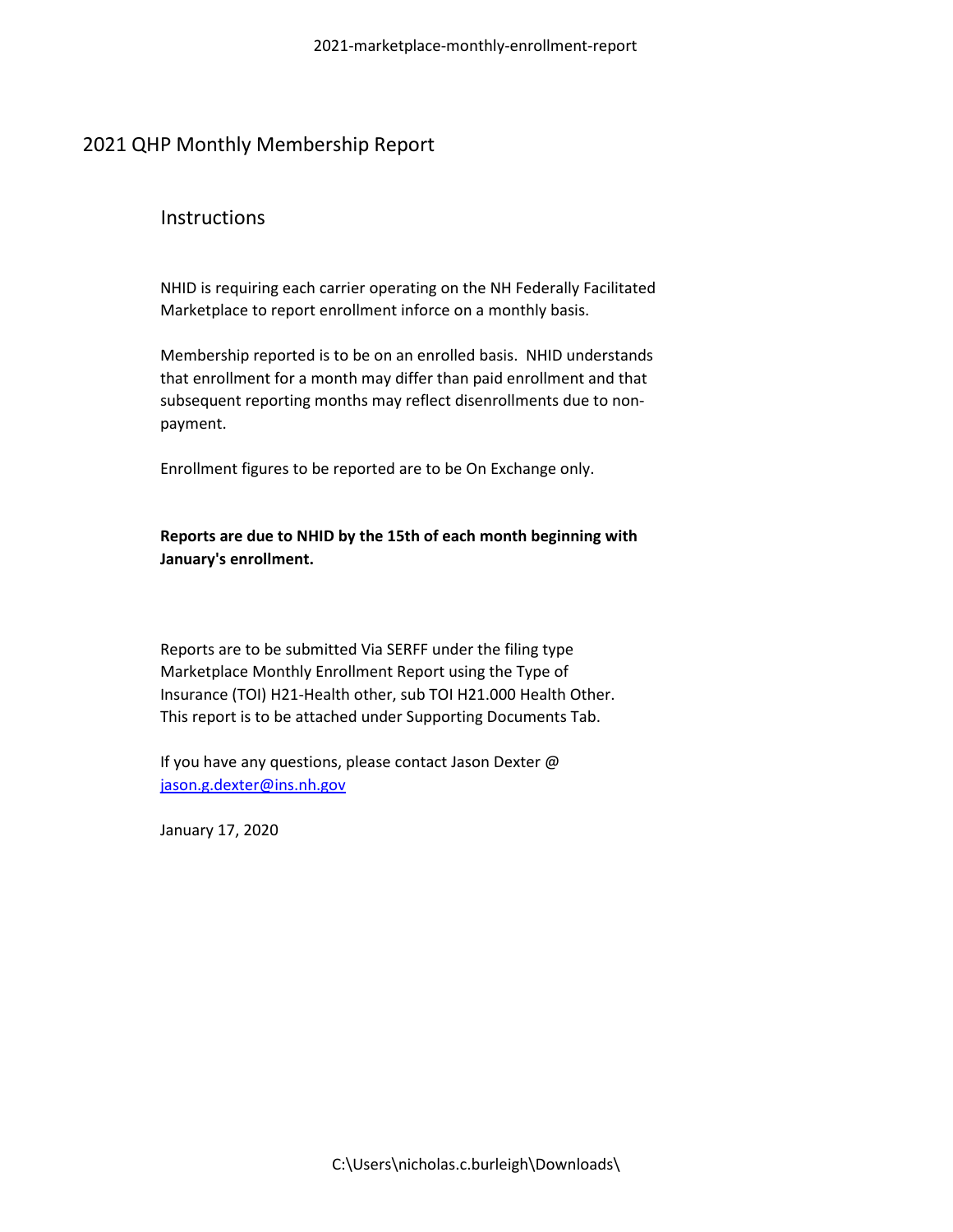#### **Instructions**

NHID is requiring each carrier operating on the NH Federally Facilitated Marketplace to report enrollment inforce on a monthly basis.

Membership reported is to be on an enrolled basis. NHID understands that enrollment for a month may differ than paid enrollment and that subsequent reporting months may reflect disenrollments due to nonpayment.

Enrollment figures to be reported are to be On Exchange only.

**Reports are due to NHID by the 15th of each month beginning with January's enrollment.**

Reports are to be submitted Via SERFF under the filing type Marketplace Monthly Enrollment Report using the Type of Insurance (TOI) H21-Health other, sub TOI H21.000 Health Other. This report is to be attached under Supporting Documents Tab.

If you have any questions, please contact Jason Dexter @ [jason.g.dexter@ins.nh.gov](mailto:jason.g.dexter@ins.nh.gov)

January 17, 2020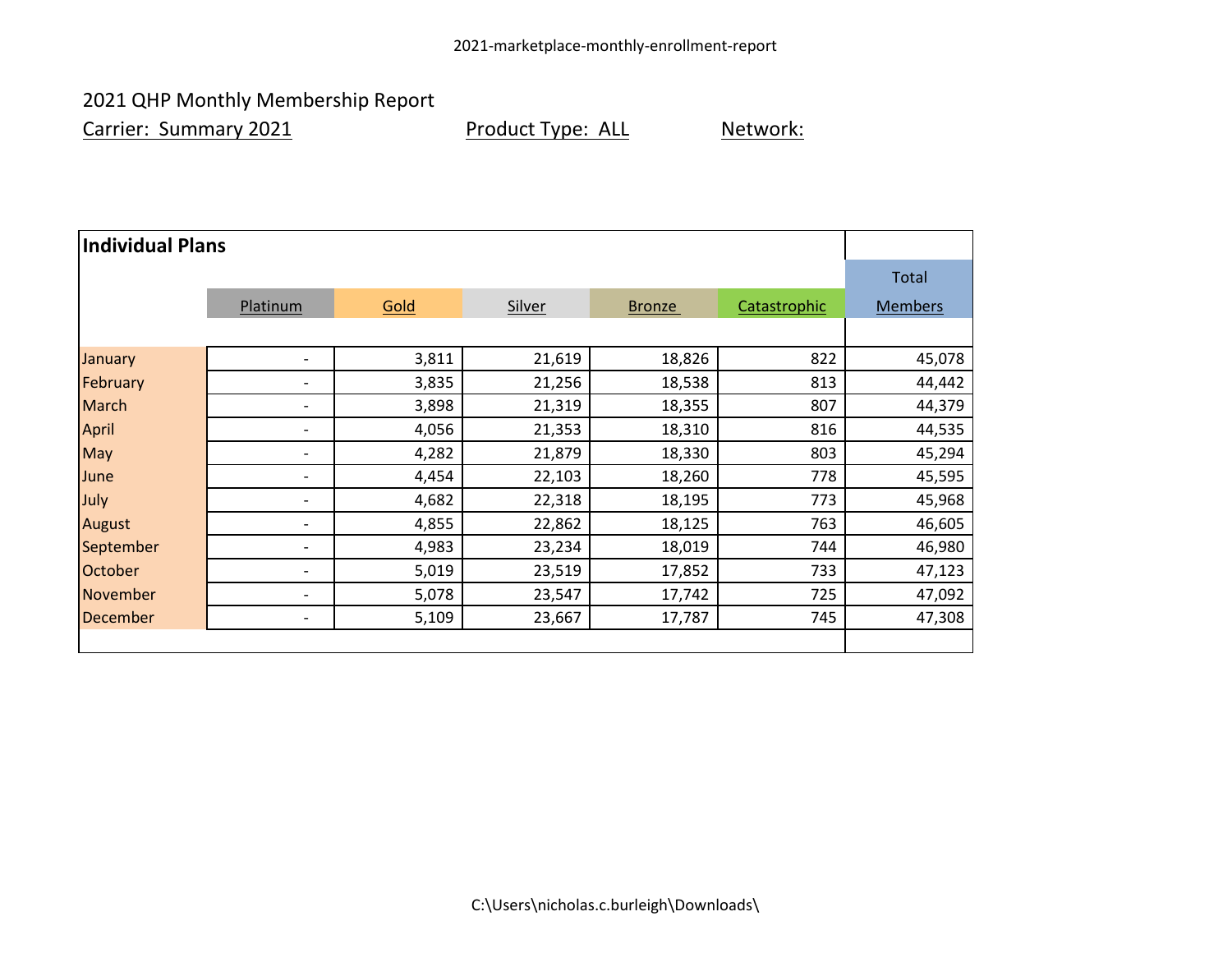Carrier: Summary 2021 **Product Type: ALL** Network:

| <b>Individual Plans</b> |                          |       |        |               |              |                |  |
|-------------------------|--------------------------|-------|--------|---------------|--------------|----------------|--|
|                         |                          |       |        |               |              | Total          |  |
|                         | Platinum                 | Gold  | Silver | <b>Bronze</b> | Catastrophic | <b>Members</b> |  |
|                         |                          |       |        |               |              |                |  |
| January                 | $\overline{\phantom{a}}$ | 3,811 | 21,619 | 18,826        | 822          | 45,078         |  |
| February                | $\overline{\phantom{a}}$ | 3,835 | 21,256 | 18,538        | 813          | 44,442         |  |
| <b>March</b>            | $\overline{\phantom{a}}$ | 3,898 | 21,319 | 18,355        | 807          | 44,379         |  |
| <b>April</b>            | $\overline{\phantom{a}}$ | 4,056 | 21,353 | 18,310        | 816          | 44,535         |  |
| May                     | $\overline{\phantom{a}}$ | 4,282 | 21,879 | 18,330        | 803          | 45,294         |  |
| June                    | $\overline{\phantom{0}}$ | 4,454 | 22,103 | 18,260        | 778          | 45,595         |  |
| July                    | $\overline{\phantom{a}}$ | 4,682 | 22,318 | 18,195        | 773          | 45,968         |  |
| August                  | $\overline{\phantom{a}}$ | 4,855 | 22,862 | 18,125        | 763          | 46,605         |  |
| September               | $\overline{\phantom{a}}$ | 4,983 | 23,234 | 18,019        | 744          | 46,980         |  |
| October                 | $\overline{\phantom{a}}$ | 5,019 | 23,519 | 17,852        | 733          | 47,123         |  |
| November                | $\overline{\phantom{a}}$ | 5,078 | 23,547 | 17,742        | 725          | 47,092         |  |
| December                | $\overline{\phantom{a}}$ | 5,109 | 23,667 | 17,787        | 745          | 47,308         |  |
|                         |                          |       |        |               |              |                |  |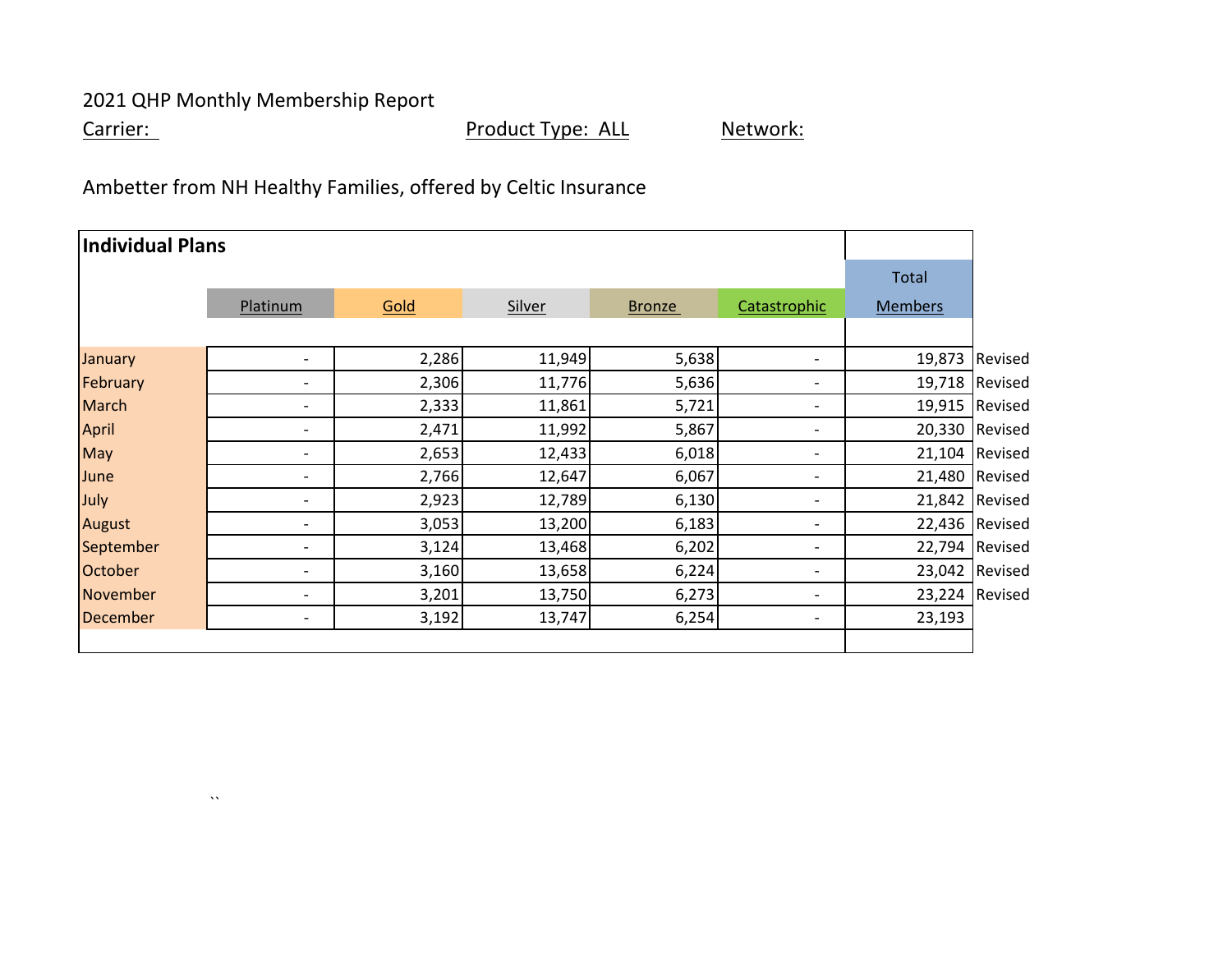$\lambda\lambda$ 

Carrier: Carrier: Carrier: Product Type: ALL Network:

Ambetter from NH Healthy Families, offered by Celtic Insurance

| Individual Plans |                          |       |        |               |                          |                |                |
|------------------|--------------------------|-------|--------|---------------|--------------------------|----------------|----------------|
|                  |                          |       |        |               |                          | Total          |                |
|                  | Platinum                 | Gold  | Silver | <b>Bronze</b> | Catastrophic             | <b>Members</b> |                |
|                  |                          |       |        |               |                          |                |                |
| January          | $\overline{\phantom{0}}$ | 2,286 | 11,949 | 5,638         | $\overline{\phantom{a}}$ | 19,873         | Revised        |
| February         | -                        | 2,306 | 11,776 | 5,636         | $\overline{\phantom{a}}$ |                | 19,718 Revised |
| <b>March</b>     | -                        | 2,333 | 11,861 | 5,721         | $\overline{\phantom{a}}$ |                | 19,915 Revised |
| <b>April</b>     | -                        | 2,471 | 11,992 | 5,867         | $\overline{\phantom{a}}$ |                | 20,330 Revised |
| May              | $\overline{\phantom{0}}$ | 2,653 | 12,433 | 6,018         | $\overline{\phantom{a}}$ |                | 21,104 Revised |
| June             | $\overline{\phantom{0}}$ | 2,766 | 12,647 | 6,067         | $\overline{\phantom{a}}$ |                | 21,480 Revised |
| July             | $\overline{\phantom{0}}$ | 2,923 | 12,789 | 6,130         | $\overline{\phantom{a}}$ |                | 21,842 Revised |
| August           | -                        | 3,053 | 13,200 | 6,183         | $\overline{\phantom{a}}$ |                | 22,436 Revised |
| September        | $\overline{\phantom{0}}$ | 3,124 | 13,468 | 6,202         | $\overline{\phantom{a}}$ |                | 22,794 Revised |
| October          | $\overline{\phantom{0}}$ | 3,160 | 13,658 | 6,224         | $\overline{\phantom{a}}$ |                | 23,042 Revised |
| <b>November</b>  | -                        | 3,201 | 13,750 | 6,273         | $\overline{\phantom{a}}$ |                | 23,224 Revised |
| <b>December</b>  | $\overline{\phantom{0}}$ | 3,192 | 13,747 | 6,254         | $\overline{\phantom{a}}$ | 23,193         |                |
|                  |                          |       |        |               |                          |                |                |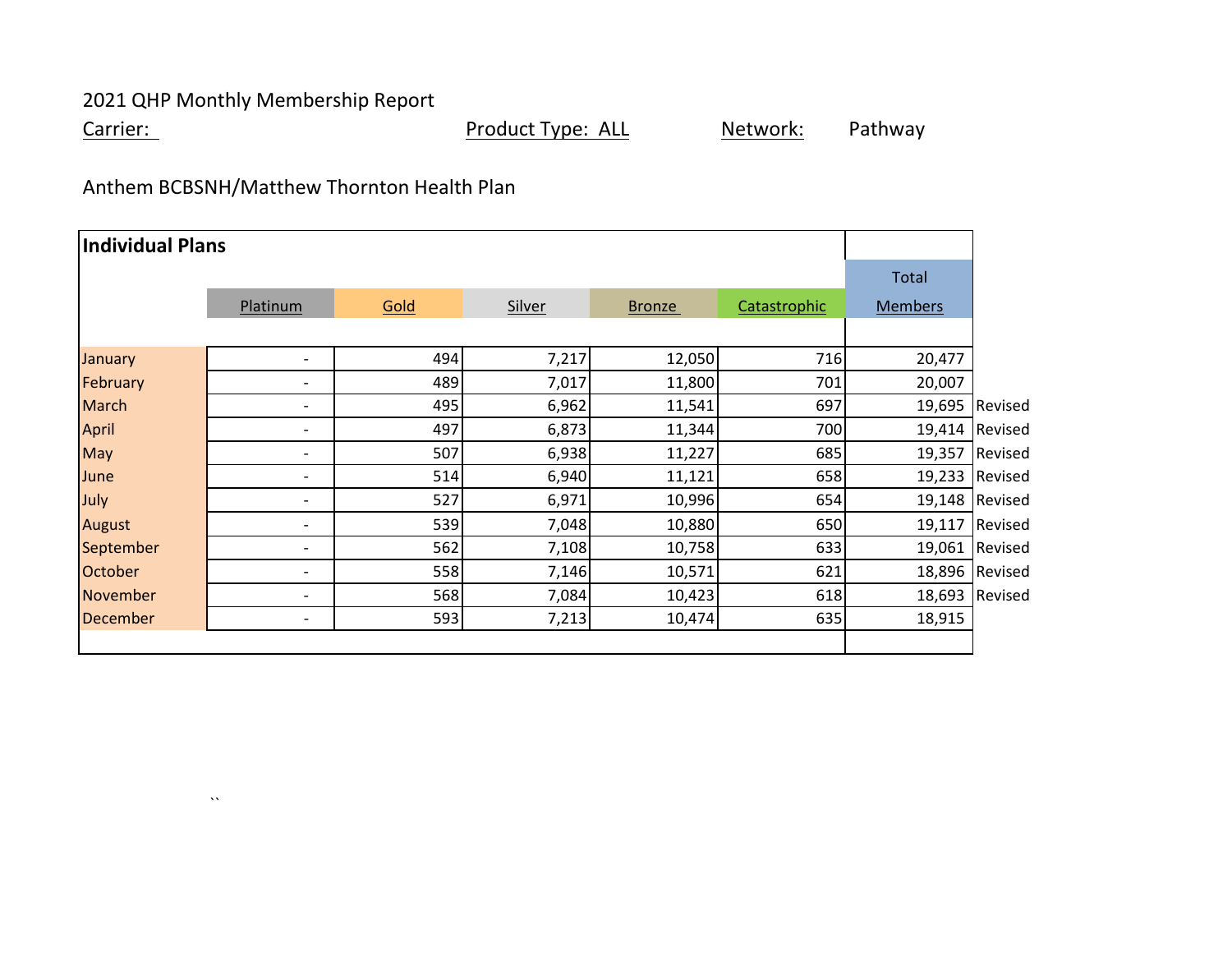$\lambda\lambda$ 

Carrier: Carrier: Carrier: Product Type: ALL Network: Pathway

# Anthem BCBSNH/Matthew Thornton Health Plan

| <b>Individual Plans</b> |                          |      |               |               |              |                |                |
|-------------------------|--------------------------|------|---------------|---------------|--------------|----------------|----------------|
|                         |                          |      |               |               |              | Total          |                |
|                         | Platinum                 | Gold | <b>Silver</b> | <b>Bronze</b> | Catastrophic | <b>Members</b> |                |
|                         |                          |      |               |               |              |                |                |
| January                 | $\overline{\phantom{0}}$ | 494  | 7,217         | 12,050        | 716          | 20,477         |                |
| February                | $\overline{\phantom{0}}$ | 489  | 7,017         | 11,800        | 701          | 20,007         |                |
| <b>March</b>            | $\overline{\phantom{0}}$ | 495  | 6,962         | 11,541        | 697          | 19,695         | Revised        |
| <b>April</b>            | -                        | 497  | 6,873         | 11,344        | 700          | 19,414         | Revised        |
| May                     | -                        | 507  | 6,938         | 11,227        | 685          |                | 19,357 Revised |
| June                    | $\overline{\phantom{0}}$ | 514  | 6,940         | 11,121        | 658          |                | 19,233 Revised |
| July                    | $\overline{\phantom{0}}$ | 527  | 6,971         | 10,996        | 654          |                | 19,148 Revised |
| August                  | $\overline{\phantom{0}}$ | 539  | 7,048         | 10,880        | 650          | 19,117         | Revised        |
| September               | $\overline{\phantom{0}}$ | 562  | 7,108         | 10,758        | 633          | 19,061         | Revised        |
| October                 | -                        | 558  | 7,146         | 10,571        | 621          | 18,896         | Revised        |
| November                | $\overline{\phantom{0}}$ | 568  | 7,084         | 10,423        | 618          | 18,693         | Revised        |
| <b>December</b>         | -                        | 593  | 7,213         | 10,474        | 635          | 18,915         |                |
|                         |                          |      |               |               |              |                |                |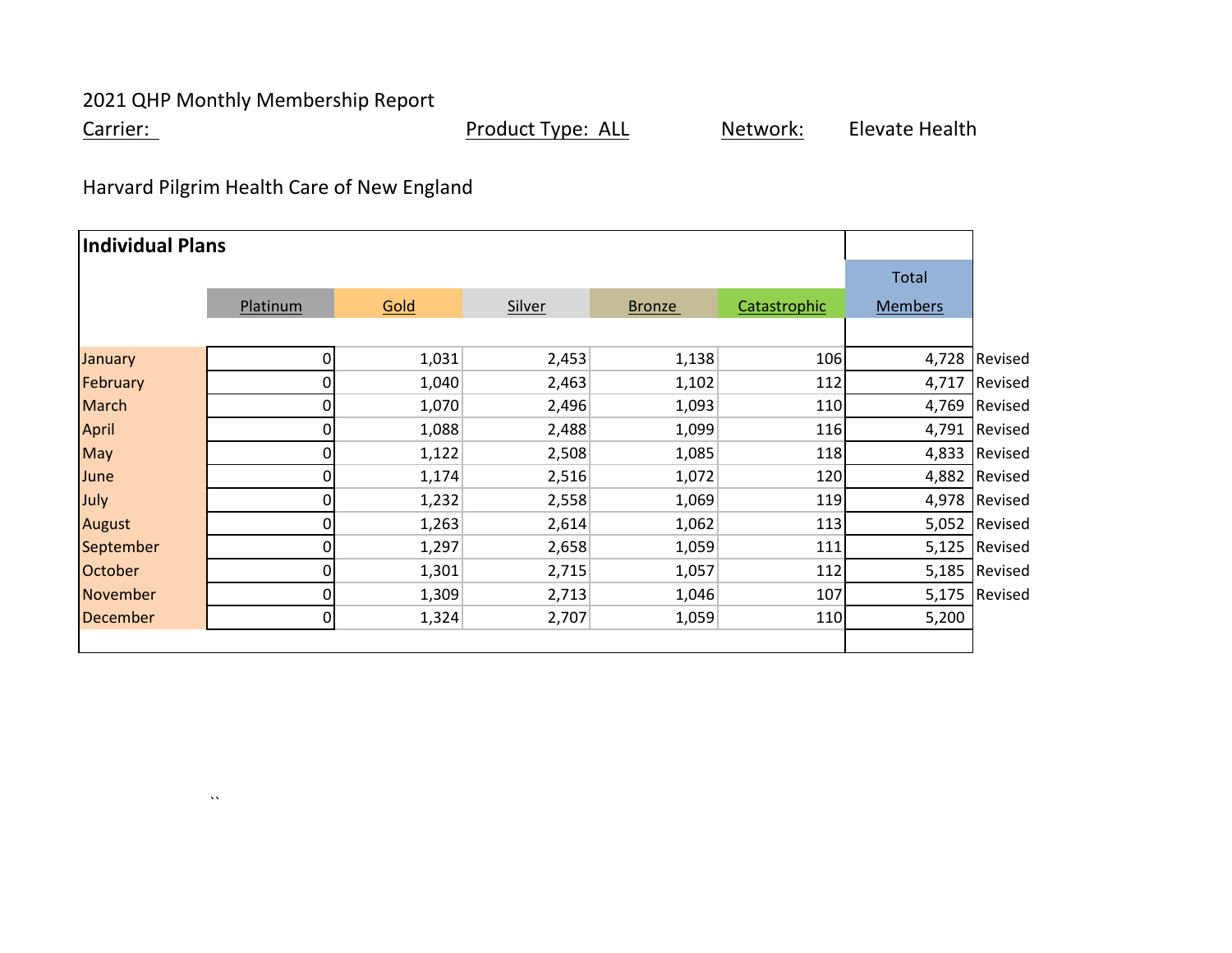$\lambda\lambda$ 

Carrier: Carrier: Carrier: Product Type: ALL Network: Elevate Health

Harvard Pilgrim Health Care of New England

| Individual Plans |          |       |               |               |              |                |               |
|------------------|----------|-------|---------------|---------------|--------------|----------------|---------------|
|                  |          |       |               |               |              | <b>Total</b>   |               |
|                  | Platinum | Gold  | <b>Silver</b> | <b>Bronze</b> | Catastrophic | <b>Members</b> |               |
|                  |          |       |               |               |              |                |               |
| January          | 0        | 1,031 | 2,453         | 1,138         | 106          | 4,728          | Revised       |
| February         | 0        | 1,040 | 2,463         | 1,102         | 112          | 4,717          | Revised       |
| <b>March</b>     | 0        | 1,070 | 2,496         | 1,093         | 110          |                | 4,769 Revised |
| <b>April</b>     | 0        | 1,088 | 2,488         | 1,099         | 116          |                | 4,791 Revised |
| May              | 0        | 1,122 | 2,508         | 1,085         | 118          |                | 4,833 Revised |
| June             | 0        | 1,174 | 2,516         | 1,072         | 120          |                | 4,882 Revised |
| July             | 0        | 1,232 | 2,558         | 1,069         | 119          |                | 4,978 Revised |
| August           |          | 1,263 | 2,614         | 1,062         | 113          |                | 5,052 Revised |
| September        | 0        | 1,297 | 2,658         | 1,059         | 111          |                | 5,125 Revised |
| October          | 0        | 1,301 | 2,715         | 1,057         | 112          |                | 5,185 Revised |
| November         | 0        | 1,309 | 2,713         | 1,046         | 107          |                | 5,175 Revised |
| <b>December</b>  | 0        | 1,324 | 2,707         | 1,059         | 110          | 5,200          |               |
|                  |          |       |               |               |              |                |               |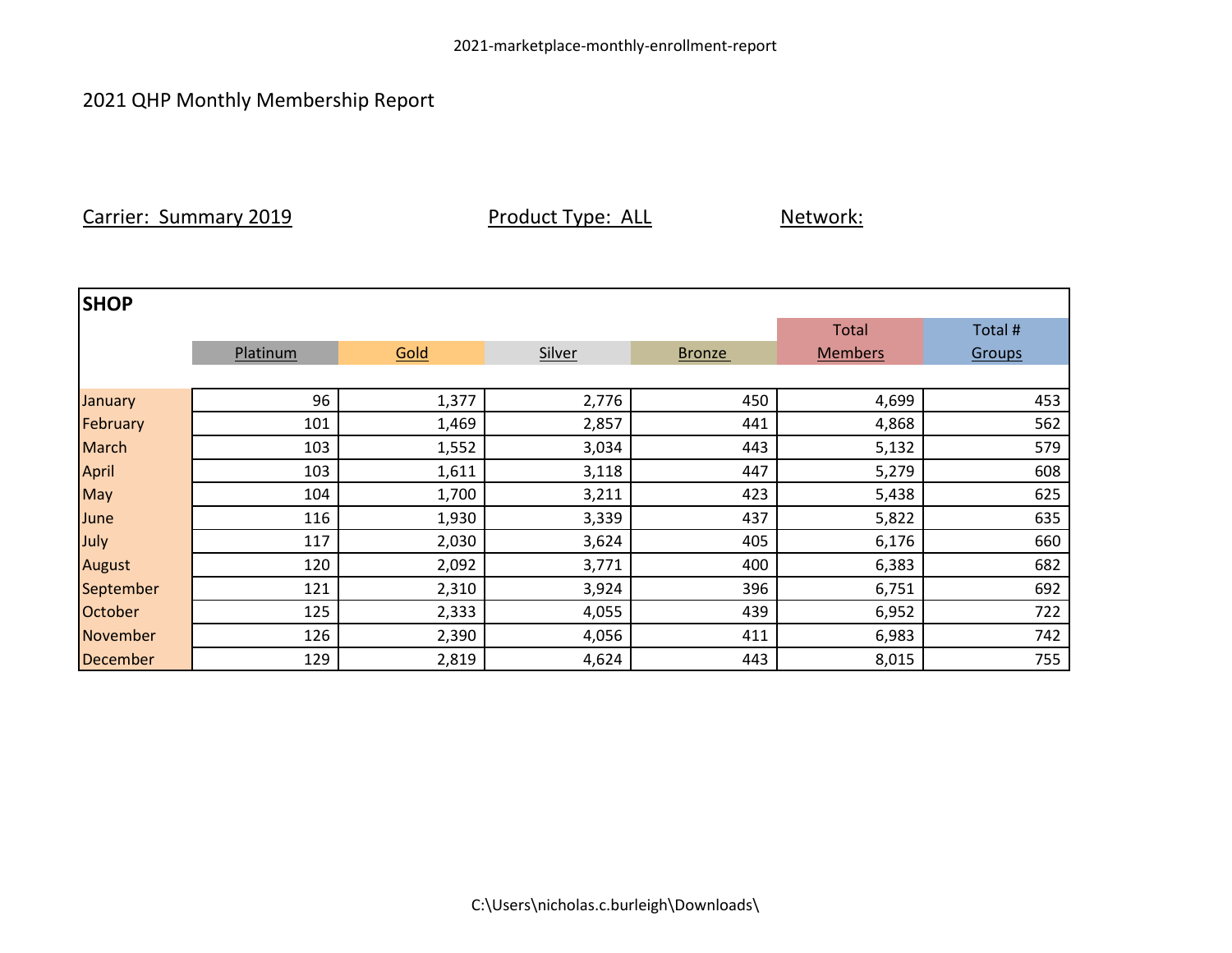Carrier: Summary 2019 **Product Type: ALL** Network:

| <b>SHOP</b>     |          |       |        |               |                |         |
|-----------------|----------|-------|--------|---------------|----------------|---------|
|                 |          |       |        |               | <b>Total</b>   | Total # |
|                 | Platinum | Gold  | Silver | <b>Bronze</b> | <b>Members</b> | Groups  |
|                 |          |       |        |               |                |         |
| January         | 96       | 1,377 | 2,776  | 450           | 4,699          | 453     |
| February        | 101      | 1,469 | 2,857  | 441           | 4,868          | 562     |
| <b>March</b>    | 103      | 1,552 | 3,034  | 443           | 5,132          | 579     |
| April           | 103      | 1,611 | 3,118  | 447           | 5,279          | 608     |
| May             | 104      | 1,700 | 3,211  | 423           | 5,438          | 625     |
| June            | 116      | 1,930 | 3,339  | 437           | 5,822          | 635     |
| July            | 117      | 2,030 | 3,624  | 405           | 6,176          | 660     |
| <b>August</b>   | 120      | 2,092 | 3,771  | 400           | 6,383          | 682     |
| September       | 121      | 2,310 | 3,924  | 396           | 6,751          | 692     |
| October         | 125      | 2,333 | 4,055  | 439           | 6,952          | 722     |
| November        | 126      | 2,390 | 4,056  | 411           | 6,983          | 742     |
| <b>December</b> | 129      | 2,819 | 4,624  | 443           | 8,015          | 755     |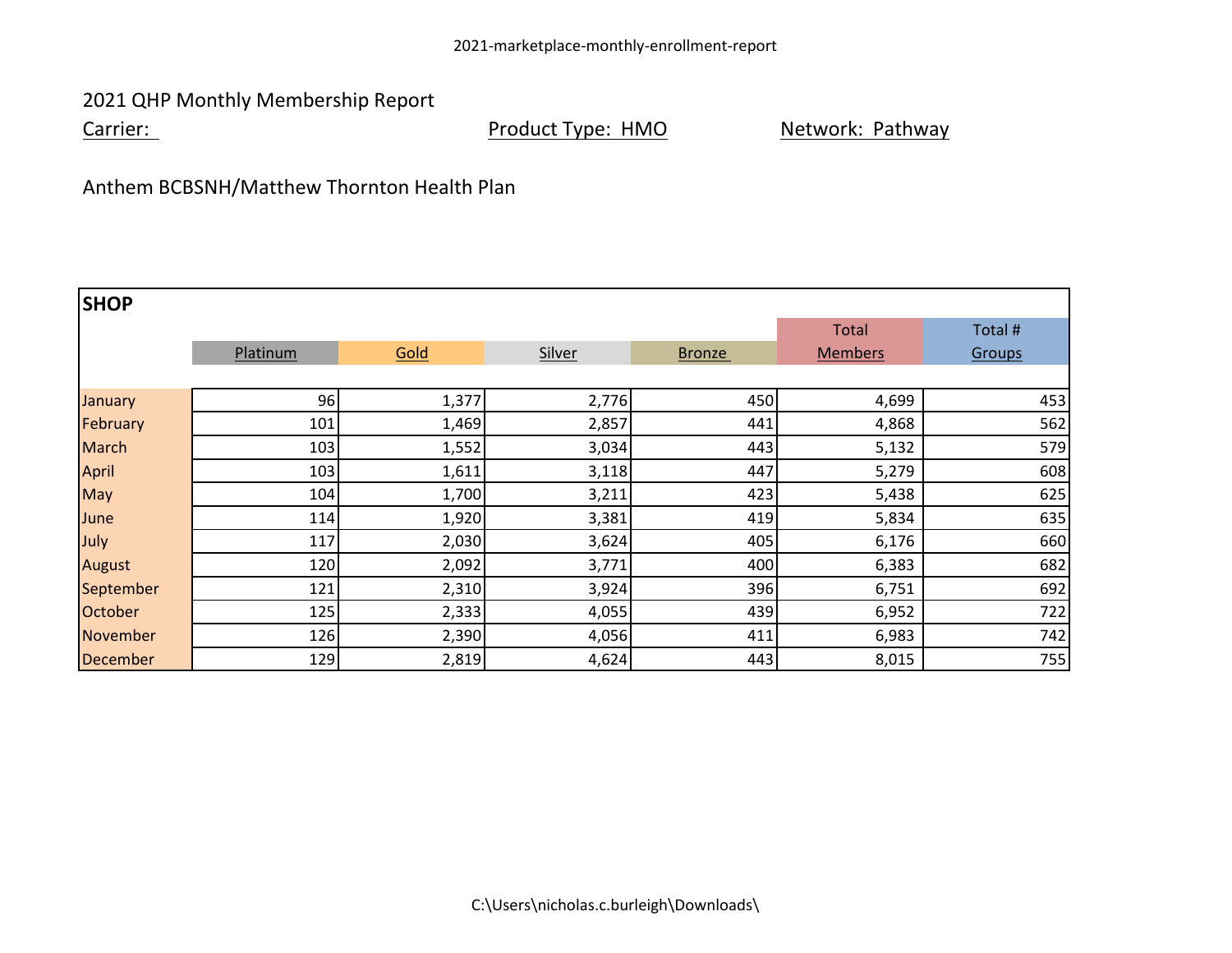Carrier: Carrier: Carrier: Product Type: HMO Network: Pathway

Anthem BCBSNH/Matthew Thornton Health Plan

| <b>SHOP</b>     |          |       |        |               |                |         |
|-----------------|----------|-------|--------|---------------|----------------|---------|
|                 |          |       |        |               | <b>Total</b>   | Total # |
|                 | Platinum | Gold  | Silver | <b>Bronze</b> | <b>Members</b> | Groups  |
|                 |          |       |        |               |                |         |
| January         | 96       | 1,377 | 2,776  | 450           | 4,699          | 453     |
| February        | 101      | 1,469 | 2,857  | 441           | 4,868          | 562     |
| <b>March</b>    | 103      | 1,552 | 3,034  | 443           | 5,132          | 579     |
| April           | 103      | 1,611 | 3,118  | 447           | 5,279          | 608     |
| May             | 104      | 1,700 | 3,211  | 423           | 5,438          | 625     |
| June            | 114      | 1,920 | 3,381  | 419           | 5,834          | 635     |
| July            | 117      | 2,030 | 3,624  | 405           | 6,176          | 660     |
| <b>August</b>   | 120      | 2,092 | 3,771  | 400           | 6,383          | 682     |
| September       | 121      | 2,310 | 3,924  | 396           | 6,751          | 692     |
| October         | 125      | 2,333 | 4,055  | 439           | 6,952          | 722     |
| November        | 126      | 2,390 | 4,056  | 411           | 6,983          | 742     |
| <b>December</b> | 129      | 2,819 | 4,624  | 443           | 8,015          | 755     |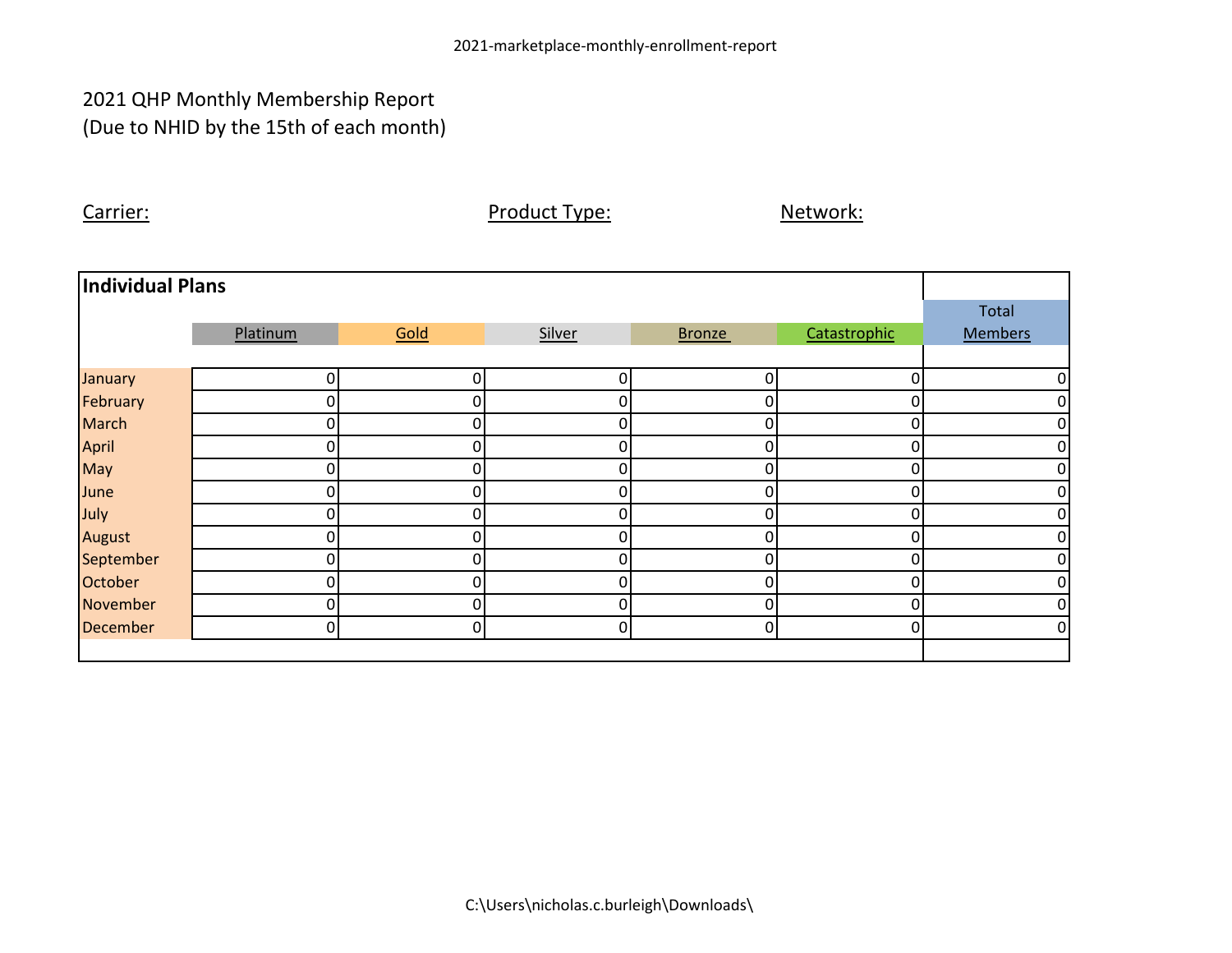## 2021 QHP Monthly Membership Report (Due to NHID by the 15th of each month)

Carrier: Carrier: Carrier: Product Type: Network: Network:

| Individual Plans |          |          |        |                |              |                |
|------------------|----------|----------|--------|----------------|--------------|----------------|
|                  |          |          |        |                |              | Total          |
|                  | Platinum | Gold     | Silver | <b>Bronze</b>  | Catastrophic | <b>Members</b> |
|                  |          |          |        |                |              |                |
| January          | 0        | 0        | 0      | 0              | 0            | 0              |
| February         |          | 0        |        | 01             |              | $\overline{0}$ |
| <b>March</b>     | 0        | 0        | 0      | $\overline{0}$ | 0            | $\overline{0}$ |
| April            | 0        | 0        | 0      | 0              | 0            | $\overline{O}$ |
| May              | O        | 0        | 0      | Οl             | 0            | $\overline{0}$ |
| June             | N        | 0        | 0      | 0              | 0            | $\overline{0}$ |
| July             | 0        | 0        | 0      | 0              | 0            | $\overline{0}$ |
| August           | ი        | 0        | 0      | 0              | 0            | $\overline{0}$ |
| September        | 0        | 0        | 0      | $\overline{0}$ | 0            | $\overline{0}$ |
| October          | 0        | $\Omega$ | 0      | $\overline{0}$ | 0            | $\overline{0}$ |
| November         | N        | $\Omega$ | O      | Οl             | 0            | $\overline{0}$ |
| <b>December</b>  | 0        | 0        | 0      | $\overline{0}$ | 0            | $\overline{O}$ |
|                  |          |          |        |                |              |                |